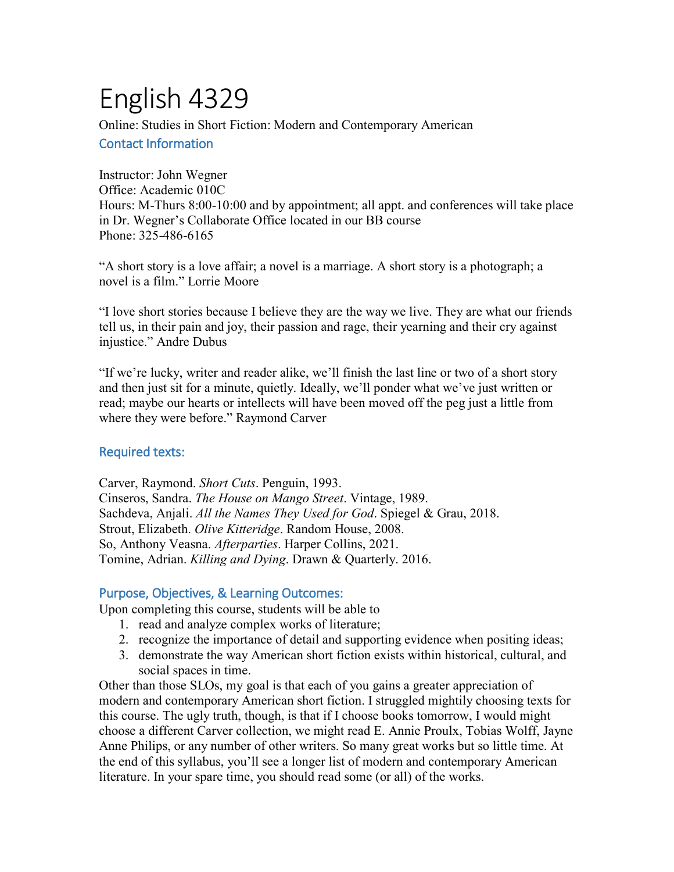# English 4329

Online: Studies in Short Fiction: Modern and Contemporary American Contact Information

Instructor: John Wegner Office: Academic 010C Hours: M-Thurs 8:00-10:00 and by appointment; all appt. and conferences will take place in Dr. Wegner's Collaborate Office located in our BB course Phone: 325-486-6165

"A short story is a love affair; a novel is a marriage. A short story is a photograph; a novel is a film." Lorrie Moore

"I love short stories because I believe they are the way we live. They are what our friends tell us, in their pain and joy, their passion and rage, their yearning and their cry against injustice." Andre Dubus

"If we're lucky, writer and reader alike, we'll finish the last line or two of a short story and then just sit for a minute, quietly. Ideally, we'll ponder what we've just written or read; maybe our hearts or intellects will have been moved off the peg just a little from where they were before." Raymond Carver

## Required texts:

Carver, Raymond. *Short Cuts*. Penguin, 1993. Cinseros, Sandra. *The House on Mango Street*. Vintage, 1989. Sachdeva, Anjali. *All the Names They Used for God*. Spiegel & Grau, 2018. Strout, Elizabeth. *Olive Kitteridge*. Random House, 2008. So, Anthony Veasna. *Afterparties*. Harper Collins, 2021. Tomine, Adrian. *Killing and Dying*. Drawn & Quarterly. 2016.

## Purpose, Objectives, & Learning Outcomes:

Upon completing this course, students will be able to

- 1. read and analyze complex works of literature;
- 2. recognize the importance of detail and supporting evidence when positing ideas;
- 3. demonstrate the way American short fiction exists within historical, cultural, and social spaces in time.

Other than those SLOs, my goal is that each of you gains a greater appreciation of modern and contemporary American short fiction. I struggled mightily choosing texts for this course. The ugly truth, though, is that if I choose books tomorrow, I would might choose a different Carver collection, we might read E. Annie Proulx, Tobias Wolff, Jayne Anne Philips, or any number of other writers. So many great works but so little time. At the end of this syllabus, you'll see a longer list of modern and contemporary American literature. In your spare time, you should read some (or all) of the works.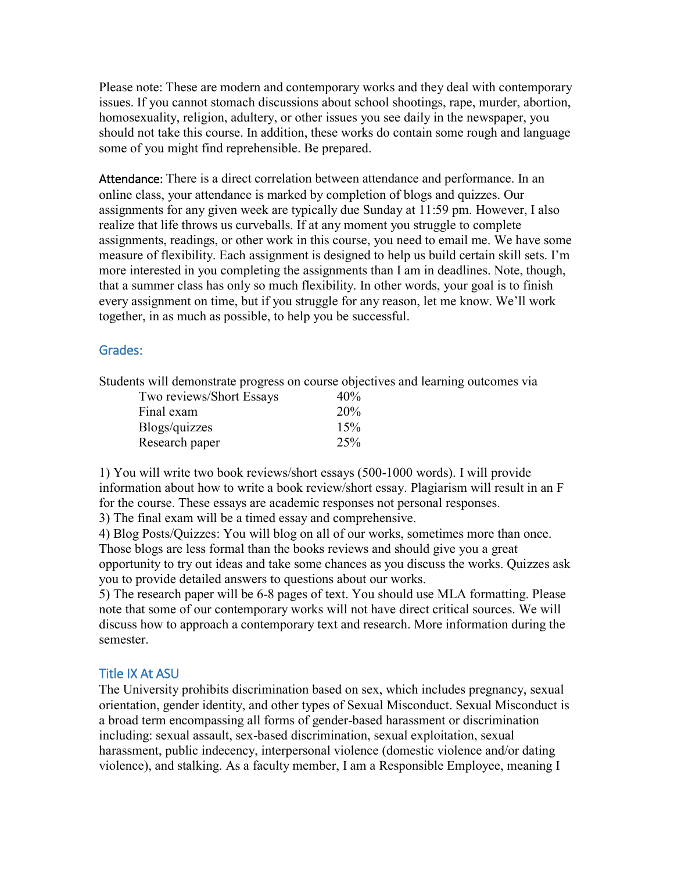Please note: These are modern and contemporary works and they deal with contemporary issues. If you cannot stomach discussions about school shootings, rape, murder, abortion, homosexuality, religion, adultery, or other issues you see daily in the newspaper, you should not take this course. In addition, these works do contain some rough and language some of you might find reprehensible. Be prepared.

Attendance: There is a direct correlation between attendance and performance. In an online class, your attendance is marked by completion of blogs and quizzes. Our assignments for any given week are typically due Sunday at 11:59 pm. However, I also realize that life throws us curveballs. If at any moment you struggle to complete assignments, readings, or other work in this course, you need to email me. We have some measure of flexibility. Each assignment is designed to help us build certain skill sets. I'm more interested in you completing the assignments than I am in deadlines. Note, though, that a summer class has only so much flexibility. In other words, your goal is to finish every assignment on time, but if you struggle for any reason, let me know. We'll work together, in as much as possible, to help you be successful.

#### Grades:

Students will demonstrate progress on course objectives and learning outcomes via

| Two reviews/Short Essays | 40% |
|--------------------------|-----|
| Final exam               | 20% |
| Blogs/quizzes            | 15% |
| Research paper           | 25% |

1) You will write two book reviews/short essays (500-1000 words). I will provide information about how to write a book review/short essay. Plagiarism will result in an F for the course. These essays are academic responses not personal responses.

3) The final exam will be a timed essay and comprehensive.

4) Blog Posts/Quizzes: You will blog on all of our works, sometimes more than once. Those blogs are less formal than the books reviews and should give you a great opportunity to try out ideas and take some chances as you discuss the works. Quizzes ask you to provide detailed answers to questions about our works.

5) The research paper will be 6-8 pages of text. You should use MLA formatting. Please note that some of our contemporary works will not have direct critical sources. We will discuss how to approach a contemporary text and research. More information during the semester.

#### Title IX At ASU

The University prohibits discrimination based on sex, which includes pregnancy, sexual orientation, gender identity, and other types of Sexual Misconduct. Sexual Misconduct is a broad term encompassing all forms of gender-based harassment or discrimination including: sexual assault, sex-based discrimination, sexual exploitation, sexual harassment, public indecency, interpersonal violence (domestic violence and/or dating violence), and stalking. As a faculty member, I am a Responsible Employee, meaning I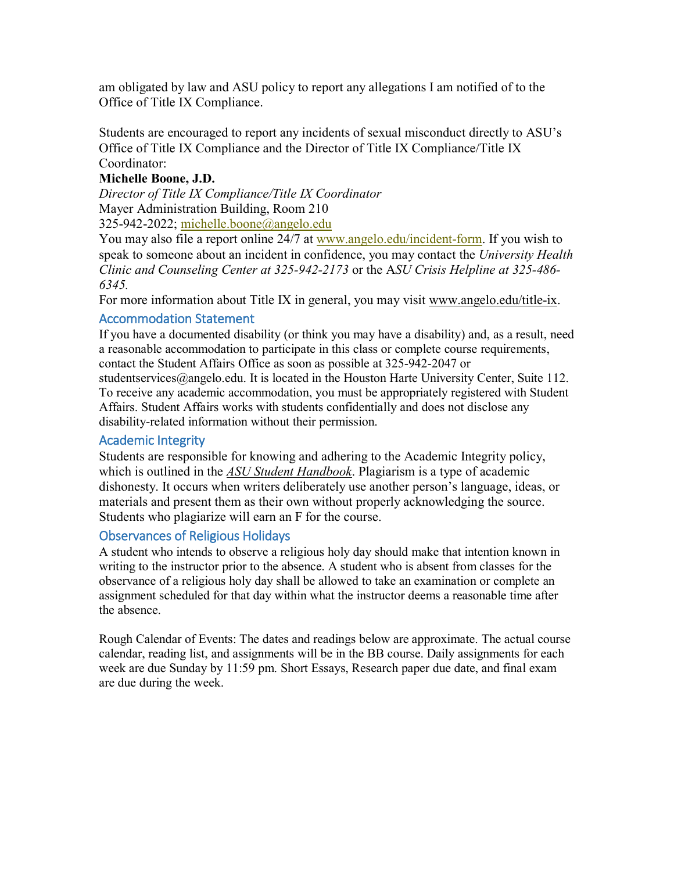am obligated by law and ASU policy to report any allegations I am notified of to the Office of Title IX Compliance.

Students are encouraged to report any incidents of sexual misconduct directly to ASU's Office of Title IX Compliance and the Director of Title IX Compliance/Title IX Coordinator:

#### **Michelle Boone, J.D.**

*Director of Title IX Compliance/Title IX Coordinator* Mayer Administration Building, Room 210 325-942-2022; [michelle.boone@angelo.edu](mailto:michelle.boone@angelo.edu)

You may also file a report online 24/7 at [www.angelo.edu/incident-form.](http://www.angelo.edu/incident-form) If you wish to speak to someone about an incident in confidence, you may contact the *University Health Clinic and Counseling Center at 325-942-2173* or the A*SU Crisis Helpline at 325-486- 6345.* 

For more information about Title IX in general, you may visit [www.angelo.edu/title-ix.](http://www.angelo.edu/title-ix)

## Accommodation Statement

If you have a documented disability (or think you may have a disability) and, as a result, need a reasonable accommodation to participate in this class or complete course requirements, contact the Student Affairs Office as soon as possible at 325-942-2047 or

studentservices@angelo.edu. It is located in the Houston Harte University Center, Suite 112. To receive any academic accommodation, you must be appropriately registered with Student Affairs. Student Affairs works with students confidentially and does not disclose any disability-related information without their permission.

## Academic Integrity

Students are responsible for knowing and adhering to the Academic Integrity policy, which is outlined in the *[ASU Student Handbook](https://www.angelo.edu/student-handbook/)*. Plagiarism is a type of academic dishonesty. It occurs when writers deliberately use another person's language, ideas, or materials and present them as their own without properly acknowledging the source. Students who plagiarize will earn an F for the course.

## Observances of Religious Holidays

A student who intends to observe a religious holy day should make that intention known in writing to the instructor prior to the absence. A student who is absent from classes for the observance of a religious holy day shall be allowed to take an examination or complete an assignment scheduled for that day within what the instructor deems a reasonable time after the absence.

Rough Calendar of Events: The dates and readings below are approximate. The actual course calendar, reading list, and assignments will be in the BB course. Daily assignments for each week are due Sunday by 11:59 pm. Short Essays, Research paper due date, and final exam are due during the week.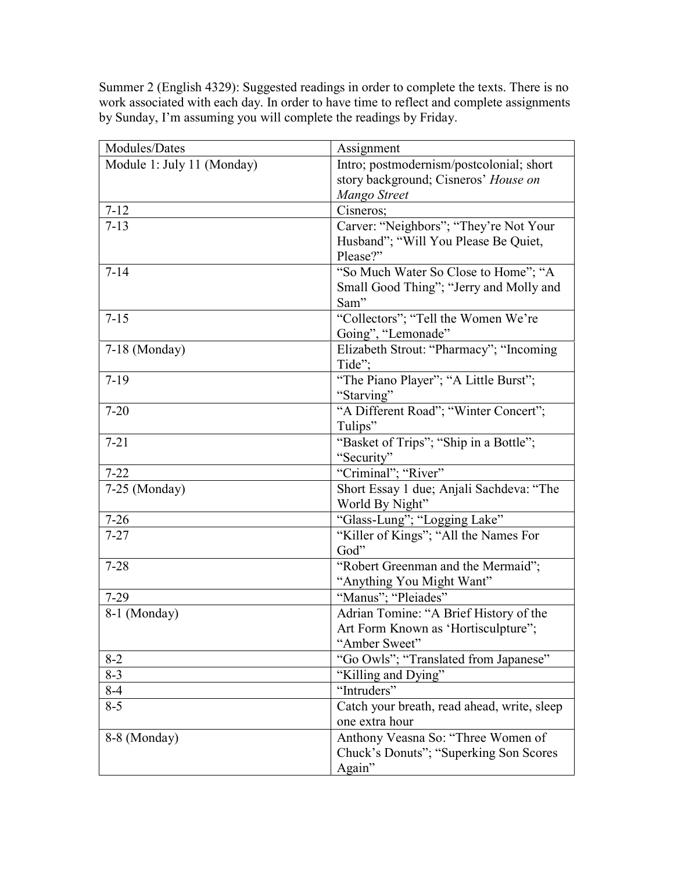Summer 2 (English 4329): Suggested readings in order to complete the texts. There is no work associated with each day. In order to have time to reflect and complete assignments by Sunday, I'm assuming you will complete the readings by Friday.

| Modules/Dates              | Assignment                                    |
|----------------------------|-----------------------------------------------|
| Module 1: July 11 (Monday) | Intro; postmodernism/postcolonial; short      |
|                            | story background; Cisneros' House on          |
|                            | Mango Street                                  |
| $7 - 12$                   | Cisneros;                                     |
| $7 - 13$                   | Carver: "Neighbors"; "They're Not Your        |
|                            | Husband"; "Will You Please Be Quiet,          |
|                            | Please?"                                      |
| $7 - 14$                   | "So Much Water So Close to Home"; "A          |
|                            | Small Good Thing"; "Jerry and Molly and       |
|                            | Sam"                                          |
| $7 - 15$                   | "Collectors"; "Tell the Women We're           |
|                            | Going", "Lemonade"                            |
| $7-18$ (Monday)            | Elizabeth Strout: "Pharmacy"; "Incoming       |
|                            | Tide";                                        |
| $7-19$                     | "The Piano Player"; "A Little Burst";         |
|                            | "Starving"                                    |
| $7 - 20$                   | "A Different Road"; "Winter Concert";         |
|                            | Tulips"                                       |
| $7 - 21$                   | "Basket of Trips"; "Ship in a Bottle";        |
|                            | "Security"                                    |
| $7 - 22$                   | "Criminal"; "River"                           |
| 7-25 (Monday)              | Short Essay 1 due; Anjali Sachdeva: "The      |
|                            | World By Night"                               |
| $7 - 26$                   | "Glass-Lung"; "Logging Lake"                  |
| $7 - 27$                   | "Killer of Kings"; "All the Names For<br>God" |
| $7 - 28$                   | "Robert Greenman and the Mermaid";            |
|                            | "Anything You Might Want"                     |
| $7-29$                     | "Manus"; "Pleiades"                           |
| 8-1 (Monday)               | Adrian Tomine: "A Brief History of the        |
|                            | Art Form Known as 'Hortisculpture";           |
|                            | "Amber Sweet"                                 |
| $8 - 2$                    | "Go Owls"; "Translated from Japanese"         |
| $8 - 3$                    | "Killing and Dying"                           |
| $8-4$                      | "Intruders"                                   |
| $8 - 5$                    | Catch your breath, read ahead, write, sleep   |
|                            | one extra hour                                |
| 8-8 (Monday)               | Anthony Veasna So: "Three Women of            |
|                            | Chuck's Donuts"; "Superking Son Scores"       |
|                            | Again"                                        |
|                            |                                               |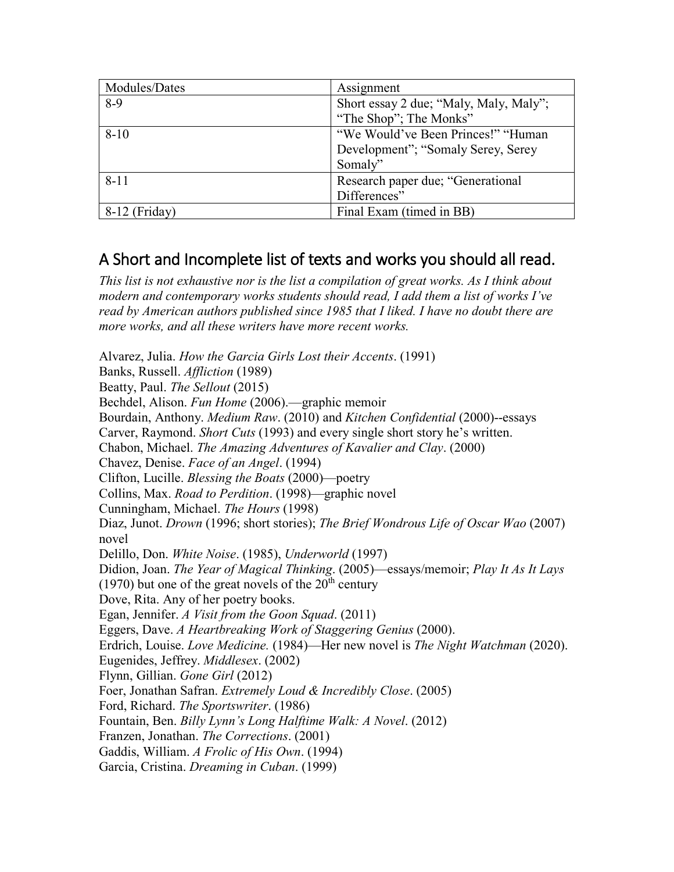| Modules/Dates | Assignment                             |
|---------------|----------------------------------------|
| $8-9$         | Short essay 2 due; "Maly, Maly, Maly"; |
|               | "The Shop"; The Monks"                 |
| $8 - 10$      | "We Would've Been Princes!" "Human"    |
|               | Development"; "Somaly Serey, Serey     |
|               | Somaly"                                |
| $8 - 11$      | Research paper due; "Generational"     |
|               | Differences"                           |
| 8-12 (Friday) | Final Exam (timed in BB)               |

# A Short and Incomplete list of texts and works you should all read.

*This list is not exhaustive nor is the list a compilation of great works. As I think about modern and contemporary works students should read, I add them a list of works I've read by American authors published since 1985 that I liked. I have no doubt there are more works, and all these writers have more recent works.* 

Alvarez, Julia. *How the Garcia Girls Lost their Accents*. (1991) Banks, Russell. *Affliction* (1989) Beatty, Paul. *The Sellout* (2015) Bechdel, Alison. *Fun Home* (2006).—graphic memoir Bourdain, Anthony. *Medium Raw*. (2010) and *Kitchen Confidential* (2000)--essays Carver, Raymond. *Short Cuts* (1993) and every single short story he's written. Chabon, Michael. *The Amazing Adventures of Kavalier and Clay*. (2000) Chavez, Denise. *Face of an Angel*. (1994) Clifton, Lucille. *Blessing the Boats* (2000)—poetry Collins, Max. *Road to Perdition*. (1998)—graphic novel Cunningham, Michael. *The Hours* (1998) Diaz, Junot. *Drown* (1996; short stories); *The Brief Wondrous Life of Oscar Wao* (2007) novel Delillo, Don. *White Noise*. (1985), *Underworld* (1997) Didion, Joan. *The Year of Magical Thinking*. (2005)—essays/memoir; *Play It As It Lays* (1970) but one of the great novels of the  $20<sup>th</sup>$  century Dove, Rita. Any of her poetry books. Egan, Jennifer. *A Visit from the Goon Squad*. (2011) Eggers, Dave. *A Heartbreaking Work of Staggering Genius* (2000). Erdrich, Louise. *Love Medicine.* (1984)—Her new novel is *The Night Watchman* (2020). Eugenides, Jeffrey. *Middlesex*. (2002) Flynn, Gillian. *Gone Girl* (2012) Foer, Jonathan Safran. *Extremely Loud & Incredibly Close*. (2005) Ford, Richard. *The Sportswriter*. (1986) Fountain, Ben. *Billy Lynn's Long Halftime Walk: A Novel*. (2012) Franzen, Jonathan. *The Corrections*. (2001) Gaddis, William. *A Frolic of His Own*. (1994) Garcia, Cristina. *Dreaming in Cuban*. (1999)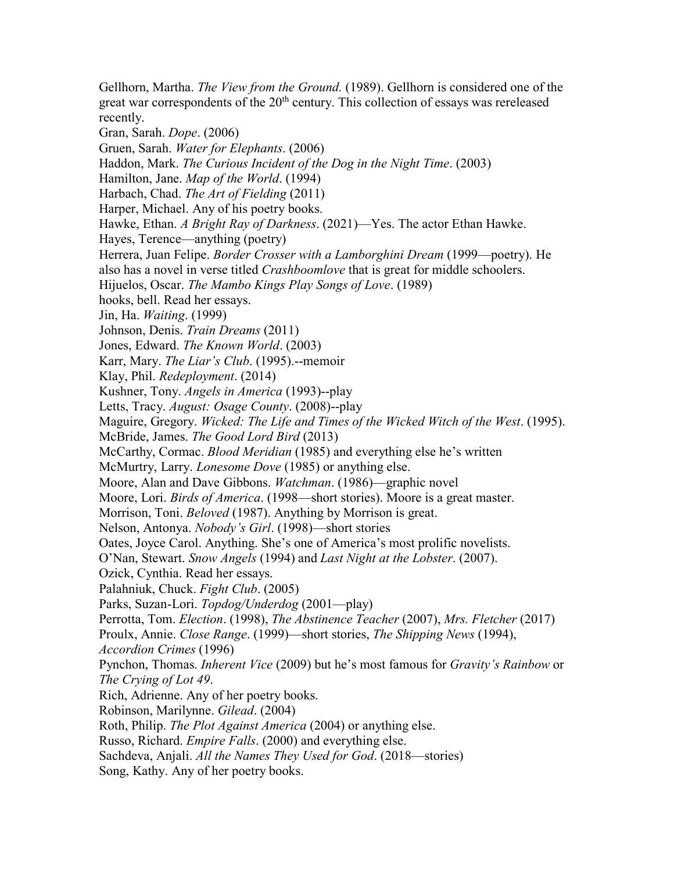Gellhorn, Martha. *The View from the Ground.* (1989). Gellhorn is considered one of the great war correspondents of the  $20<sup>th</sup>$  century. This collection of essays was rereleased recently. Gran, Sarah. *Dope*. (2006) Gruen, Sarah. *Water for Elephants*. (2006) Haddon, Mark. *The Curious Incident of the Dog in the Night Time*. (2003) Hamilton, Jane. *Map of the World*. (1994) Harbach, Chad. *The Art of Fielding* (2011) Harper, Michael. Any of his poetry books. Hawke, Ethan. *A Bright Ray of Darkness*. (2021)—Yes. The actor Ethan Hawke. Hayes, Terence—anything (poetry) Herrera, Juan Felipe. *Border Crosser with a Lamborghini Dream* (1999—poetry). He also has a novel in verse titled *Crashboomlove* that is great for middle schoolers. Hijuelos, Oscar. *The Mambo Kings Play Songs of Love*. (1989) hooks, bell. Read her essays. Jin, Ha. *Waiting*. (1999) Johnson, Denis. *Train Dreams* (2011) Jones, Edward. *The Known World*. (2003) Karr, Mary. *The Liar's Club*. (1995).--memoir Klay, Phil. *Redeployment*. (2014) Kushner, Tony. *Angels in America* (1993)--play Letts, Tracy. *August: Osage County*. (2008)--play Maguire, Gregory. *Wicked: The Life and Times of the Wicked Witch of the West*. (1995). McBride, James. *The Good Lord Bird* (2013) McCarthy, Cormac. *Blood Meridian* (1985) and everything else he's written McMurtry, Larry. *Lonesome Dove* (1985) or anything else. Moore, Alan and Dave Gibbons. *Watchman*. (1986)—graphic novel Moore, Lori. *Birds of America*. (1998—short stories). Moore is a great master. Morrison, Toni. *Beloved* (1987). Anything by Morrison is great. Nelson, Antonya. *Nobody's Girl*. (1998)—short stories Oates, Joyce Carol. Anything. She's one of America's most prolific novelists. O'Nan, Stewart. *Snow Angels* (1994) and *Last Night at the Lobster*. (2007). Ozick, Cynthia. Read her essays. Palahniuk, Chuck. *Fight Club*. (2005) Parks, Suzan-Lori. *Topdog/Underdog* (2001—play) Perrotta, Tom. *Election*. (1998), *The Abstinence Teacher* (2007), *Mrs. Fletcher* (2017) Proulx, Annie. *Close Range*. (1999)—short stories, *The Shipping News* (1994), *Accordion Crimes* (1996) Pynchon, Thomas. *Inherent Vice* (2009) but he's most famous for *Gravity's Rainbow* or *The Crying of Lot 49*. Rich, Adrienne. Any of her poetry books. Robinson, Marilynne. *Gilead*. (2004) Roth, Philip. *The Plot Against America* (2004) or anything else. Russo, Richard. *Empire Falls*. (2000) and everything else. Sachdeva, Anjali. *All the Names They Used for God*. (2018—stories) Song, Kathy. Any of her poetry books.